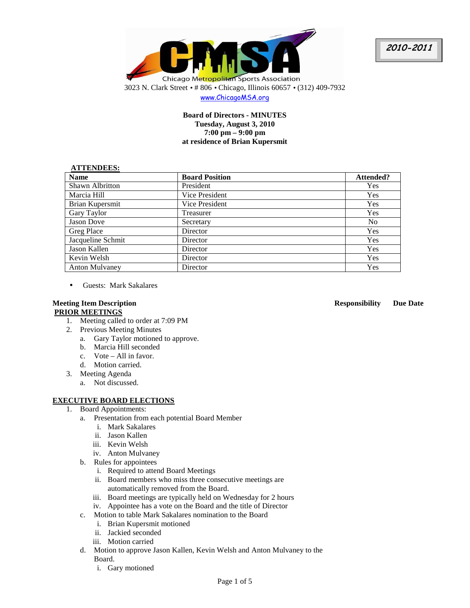



www.ChicagoMSA.org

# **Board of Directors - MINUTES Tuesday, August 3, 2010 7:00 pm – 9:00 pm at residence of Brian Kupersmit**

## **ATTENDEES:**

| <b>Name</b>           | <b>Board Position</b> | Attended?      |
|-----------------------|-----------------------|----------------|
| Shawn Albritton       | President             | Yes            |
| Marcia Hill           | Vice President        | Yes            |
| Brian Kupersmit       | Vice President        | <b>Yes</b>     |
| Gary Taylor           | Treasurer             | Yes            |
| Jason Dove            | Secretary             | N <sub>0</sub> |
| Greg Place            | Director              | <b>Yes</b>     |
| Jacqueline Schmit     | Director              | Yes            |
| Jason Kallen          | Director              | <b>Yes</b>     |
| Kevin Welsh           | Director              | <b>Yes</b>     |
| <b>Anton Mulvaney</b> | Director              | Yes            |

• Guests: Mark Sakalares

# **PRIOR MEETINGS**

- 1. Meeting called to order at 7:09 PM
- 2. Previous Meeting Minutes
	- a. Gary Taylor motioned to approve.
	- b. Marcia Hill seconded
	- c. Vote All in favor.
	- d. Motion carried.
- 3. Meeting Agenda
	- a. Not discussed.

## **EXECUTIVE BOARD ELECTIONS**

- 1. Board Appointments:
	- a. Presentation from each potential Board Member
		- i. Mark Sakalares
		- ii. Jason Kallen
		- iii. Kevin Welsh
		- iv. Anton Mulvaney
	- b. Rules for appointees
		- i. Required to attend Board Meetings
		- ii. Board members who miss three consecutive meetings are automatically removed from the Board.
		- iii. Board meetings are typically held on Wednesday for 2 hours
		- iv. Appointee has a vote on the Board and the title of Director
	- c. Motion to table Mark Sakalares nomination to the Board
		- i. Brian Kupersmit motioned
		- ii. Jackied seconded
		- iii. Motion carried
	- d. Motion to approve Jason Kallen, Kevin Welsh and Anton Mulvaney to the Board.
		- i. Gary motioned

**Meeting Item Description Responsibility Due Date**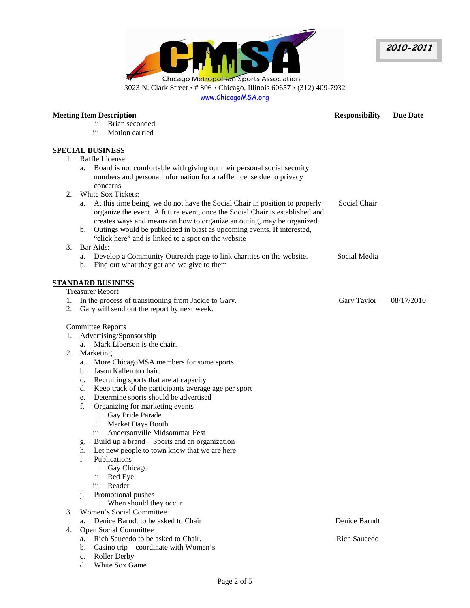**2010-2011** 



www.ChicagoMSA.org

| ii. Brian seconded<br>iii. Motion carried<br><b>SPECIAL BUSINESS</b><br>Raffle License:<br>1.<br>Board is not comfortable with giving out their personal social security<br>a.<br>numbers and personal information for a raffle license due to privacy<br>concerns<br>White Sox Tickets:<br>2.<br>At this time being, we do not have the Social Chair in position to properly<br>Social Chair<br>a.<br>organize the event. A future event, once the Social Chair is established and<br>creates ways and means on how to organize an outing, may be organized.<br>Outings would be publicized in blast as upcoming events. If interested,<br>b.<br>"click here" and is linked to a spot on the website<br>Bar Aids:<br>3.<br>Develop a Community Outreach page to link charities on the website.<br>Social Media<br>a.<br>Find out what they get and we give to them<br>b.<br><b>STANDARD BUSINESS</b><br><b>Treasurer Report</b><br>In the process of transitioning from Jackie to Gary.<br>Gary Taylor<br>08/17/2010<br>1.<br>Gary will send out the report by next week.<br>2.<br><b>Committee Reports</b><br>Advertising/Sponsorship<br>1.<br>Mark Liberson is the chair.<br>a.<br>Marketing<br>2.<br>More ChicagoMSA members for some sports<br>a.<br>Jason Kallen to chair.<br>b.<br>Recruiting sports that are at capacity<br>c.<br>Keep track of the participants average age per sport<br>d.<br>Determine sports should be advertised<br>e.<br>Organizing for marketing events<br>f.<br>i. Gay Pride Parade<br>ii. Market Days Booth<br>iii. Andersonville Midsommar Fest<br>Build up a brand – Sports and an organization<br>g.<br>Let new people to town know that we are here<br>h.<br>Publications<br>i.<br>i. Gay Chicago<br>ii. Red Eye<br>iii. Reader<br>Promotional pushes<br>j.<br>i. When should they occur<br>Women's Social Committee<br>3.<br>Denice Barndt to be asked to Chair<br>Denice Barndt<br>a.<br>Open Social Committee<br>4.<br>Rich Saucedo to be asked to Chair.<br><b>Rich Saucedo</b><br>a.<br>Casino trip – coordinate with Women's<br>b. | <b>Meeting Item Description</b> |    | <b>Responsibility</b> | <b>Due Date</b> |  |
|-------------------------------------------------------------------------------------------------------------------------------------------------------------------------------------------------------------------------------------------------------------------------------------------------------------------------------------------------------------------------------------------------------------------------------------------------------------------------------------------------------------------------------------------------------------------------------------------------------------------------------------------------------------------------------------------------------------------------------------------------------------------------------------------------------------------------------------------------------------------------------------------------------------------------------------------------------------------------------------------------------------------------------------------------------------------------------------------------------------------------------------------------------------------------------------------------------------------------------------------------------------------------------------------------------------------------------------------------------------------------------------------------------------------------------------------------------------------------------------------------------------------------------------------------------------------------------------------------------------------------------------------------------------------------------------------------------------------------------------------------------------------------------------------------------------------------------------------------------------------------------------------------------------------------------------------------------------------------------------------------------------------------------------------------------------------------------|---------------------------------|----|-----------------------|-----------------|--|
|                                                                                                                                                                                                                                                                                                                                                                                                                                                                                                                                                                                                                                                                                                                                                                                                                                                                                                                                                                                                                                                                                                                                                                                                                                                                                                                                                                                                                                                                                                                                                                                                                                                                                                                                                                                                                                                                                                                                                                                                                                                                               |                                 |    |                       |                 |  |
|                                                                                                                                                                                                                                                                                                                                                                                                                                                                                                                                                                                                                                                                                                                                                                                                                                                                                                                                                                                                                                                                                                                                                                                                                                                                                                                                                                                                                                                                                                                                                                                                                                                                                                                                                                                                                                                                                                                                                                                                                                                                               |                                 |    |                       |                 |  |
|                                                                                                                                                                                                                                                                                                                                                                                                                                                                                                                                                                                                                                                                                                                                                                                                                                                                                                                                                                                                                                                                                                                                                                                                                                                                                                                                                                                                                                                                                                                                                                                                                                                                                                                                                                                                                                                                                                                                                                                                                                                                               |                                 |    |                       |                 |  |
|                                                                                                                                                                                                                                                                                                                                                                                                                                                                                                                                                                                                                                                                                                                                                                                                                                                                                                                                                                                                                                                                                                                                                                                                                                                                                                                                                                                                                                                                                                                                                                                                                                                                                                                                                                                                                                                                                                                                                                                                                                                                               |                                 |    |                       |                 |  |
|                                                                                                                                                                                                                                                                                                                                                                                                                                                                                                                                                                                                                                                                                                                                                                                                                                                                                                                                                                                                                                                                                                                                                                                                                                                                                                                                                                                                                                                                                                                                                                                                                                                                                                                                                                                                                                                                                                                                                                                                                                                                               |                                 |    |                       |                 |  |
|                                                                                                                                                                                                                                                                                                                                                                                                                                                                                                                                                                                                                                                                                                                                                                                                                                                                                                                                                                                                                                                                                                                                                                                                                                                                                                                                                                                                                                                                                                                                                                                                                                                                                                                                                                                                                                                                                                                                                                                                                                                                               |                                 |    |                       |                 |  |
|                                                                                                                                                                                                                                                                                                                                                                                                                                                                                                                                                                                                                                                                                                                                                                                                                                                                                                                                                                                                                                                                                                                                                                                                                                                                                                                                                                                                                                                                                                                                                                                                                                                                                                                                                                                                                                                                                                                                                                                                                                                                               |                                 |    |                       |                 |  |
|                                                                                                                                                                                                                                                                                                                                                                                                                                                                                                                                                                                                                                                                                                                                                                                                                                                                                                                                                                                                                                                                                                                                                                                                                                                                                                                                                                                                                                                                                                                                                                                                                                                                                                                                                                                                                                                                                                                                                                                                                                                                               |                                 |    |                       |                 |  |
|                                                                                                                                                                                                                                                                                                                                                                                                                                                                                                                                                                                                                                                                                                                                                                                                                                                                                                                                                                                                                                                                                                                                                                                                                                                                                                                                                                                                                                                                                                                                                                                                                                                                                                                                                                                                                                                                                                                                                                                                                                                                               |                                 |    |                       |                 |  |
|                                                                                                                                                                                                                                                                                                                                                                                                                                                                                                                                                                                                                                                                                                                                                                                                                                                                                                                                                                                                                                                                                                                                                                                                                                                                                                                                                                                                                                                                                                                                                                                                                                                                                                                                                                                                                                                                                                                                                                                                                                                                               |                                 |    |                       |                 |  |
|                                                                                                                                                                                                                                                                                                                                                                                                                                                                                                                                                                                                                                                                                                                                                                                                                                                                                                                                                                                                                                                                                                                                                                                                                                                                                                                                                                                                                                                                                                                                                                                                                                                                                                                                                                                                                                                                                                                                                                                                                                                                               |                                 |    |                       |                 |  |
|                                                                                                                                                                                                                                                                                                                                                                                                                                                                                                                                                                                                                                                                                                                                                                                                                                                                                                                                                                                                                                                                                                                                                                                                                                                                                                                                                                                                                                                                                                                                                                                                                                                                                                                                                                                                                                                                                                                                                                                                                                                                               |                                 |    |                       |                 |  |
|                                                                                                                                                                                                                                                                                                                                                                                                                                                                                                                                                                                                                                                                                                                                                                                                                                                                                                                                                                                                                                                                                                                                                                                                                                                                                                                                                                                                                                                                                                                                                                                                                                                                                                                                                                                                                                                                                                                                                                                                                                                                               |                                 |    |                       |                 |  |
|                                                                                                                                                                                                                                                                                                                                                                                                                                                                                                                                                                                                                                                                                                                                                                                                                                                                                                                                                                                                                                                                                                                                                                                                                                                                                                                                                                                                                                                                                                                                                                                                                                                                                                                                                                                                                                                                                                                                                                                                                                                                               |                                 |    |                       |                 |  |
|                                                                                                                                                                                                                                                                                                                                                                                                                                                                                                                                                                                                                                                                                                                                                                                                                                                                                                                                                                                                                                                                                                                                                                                                                                                                                                                                                                                                                                                                                                                                                                                                                                                                                                                                                                                                                                                                                                                                                                                                                                                                               |                                 |    |                       |                 |  |
|                                                                                                                                                                                                                                                                                                                                                                                                                                                                                                                                                                                                                                                                                                                                                                                                                                                                                                                                                                                                                                                                                                                                                                                                                                                                                                                                                                                                                                                                                                                                                                                                                                                                                                                                                                                                                                                                                                                                                                                                                                                                               |                                 |    |                       |                 |  |
|                                                                                                                                                                                                                                                                                                                                                                                                                                                                                                                                                                                                                                                                                                                                                                                                                                                                                                                                                                                                                                                                                                                                                                                                                                                                                                                                                                                                                                                                                                                                                                                                                                                                                                                                                                                                                                                                                                                                                                                                                                                                               |                                 |    |                       |                 |  |
|                                                                                                                                                                                                                                                                                                                                                                                                                                                                                                                                                                                                                                                                                                                                                                                                                                                                                                                                                                                                                                                                                                                                                                                                                                                                                                                                                                                                                                                                                                                                                                                                                                                                                                                                                                                                                                                                                                                                                                                                                                                                               |                                 |    |                       |                 |  |
|                                                                                                                                                                                                                                                                                                                                                                                                                                                                                                                                                                                                                                                                                                                                                                                                                                                                                                                                                                                                                                                                                                                                                                                                                                                                                                                                                                                                                                                                                                                                                                                                                                                                                                                                                                                                                                                                                                                                                                                                                                                                               |                                 |    |                       |                 |  |
|                                                                                                                                                                                                                                                                                                                                                                                                                                                                                                                                                                                                                                                                                                                                                                                                                                                                                                                                                                                                                                                                                                                                                                                                                                                                                                                                                                                                                                                                                                                                                                                                                                                                                                                                                                                                                                                                                                                                                                                                                                                                               |                                 |    |                       |                 |  |
|                                                                                                                                                                                                                                                                                                                                                                                                                                                                                                                                                                                                                                                                                                                                                                                                                                                                                                                                                                                                                                                                                                                                                                                                                                                                                                                                                                                                                                                                                                                                                                                                                                                                                                                                                                                                                                                                                                                                                                                                                                                                               |                                 |    |                       |                 |  |
|                                                                                                                                                                                                                                                                                                                                                                                                                                                                                                                                                                                                                                                                                                                                                                                                                                                                                                                                                                                                                                                                                                                                                                                                                                                                                                                                                                                                                                                                                                                                                                                                                                                                                                                                                                                                                                                                                                                                                                                                                                                                               |                                 |    |                       |                 |  |
|                                                                                                                                                                                                                                                                                                                                                                                                                                                                                                                                                                                                                                                                                                                                                                                                                                                                                                                                                                                                                                                                                                                                                                                                                                                                                                                                                                                                                                                                                                                                                                                                                                                                                                                                                                                                                                                                                                                                                                                                                                                                               |                                 |    |                       |                 |  |
|                                                                                                                                                                                                                                                                                                                                                                                                                                                                                                                                                                                                                                                                                                                                                                                                                                                                                                                                                                                                                                                                                                                                                                                                                                                                                                                                                                                                                                                                                                                                                                                                                                                                                                                                                                                                                                                                                                                                                                                                                                                                               |                                 |    |                       |                 |  |
|                                                                                                                                                                                                                                                                                                                                                                                                                                                                                                                                                                                                                                                                                                                                                                                                                                                                                                                                                                                                                                                                                                                                                                                                                                                                                                                                                                                                                                                                                                                                                                                                                                                                                                                                                                                                                                                                                                                                                                                                                                                                               |                                 |    |                       |                 |  |
|                                                                                                                                                                                                                                                                                                                                                                                                                                                                                                                                                                                                                                                                                                                                                                                                                                                                                                                                                                                                                                                                                                                                                                                                                                                                                                                                                                                                                                                                                                                                                                                                                                                                                                                                                                                                                                                                                                                                                                                                                                                                               |                                 |    |                       |                 |  |
|                                                                                                                                                                                                                                                                                                                                                                                                                                                                                                                                                                                                                                                                                                                                                                                                                                                                                                                                                                                                                                                                                                                                                                                                                                                                                                                                                                                                                                                                                                                                                                                                                                                                                                                                                                                                                                                                                                                                                                                                                                                                               |                                 |    |                       |                 |  |
|                                                                                                                                                                                                                                                                                                                                                                                                                                                                                                                                                                                                                                                                                                                                                                                                                                                                                                                                                                                                                                                                                                                                                                                                                                                                                                                                                                                                                                                                                                                                                                                                                                                                                                                                                                                                                                                                                                                                                                                                                                                                               |                                 |    |                       |                 |  |
|                                                                                                                                                                                                                                                                                                                                                                                                                                                                                                                                                                                                                                                                                                                                                                                                                                                                                                                                                                                                                                                                                                                                                                                                                                                                                                                                                                                                                                                                                                                                                                                                                                                                                                                                                                                                                                                                                                                                                                                                                                                                               |                                 |    |                       |                 |  |
|                                                                                                                                                                                                                                                                                                                                                                                                                                                                                                                                                                                                                                                                                                                                                                                                                                                                                                                                                                                                                                                                                                                                                                                                                                                                                                                                                                                                                                                                                                                                                                                                                                                                                                                                                                                                                                                                                                                                                                                                                                                                               |                                 |    |                       |                 |  |
|                                                                                                                                                                                                                                                                                                                                                                                                                                                                                                                                                                                                                                                                                                                                                                                                                                                                                                                                                                                                                                                                                                                                                                                                                                                                                                                                                                                                                                                                                                                                                                                                                                                                                                                                                                                                                                                                                                                                                                                                                                                                               |                                 |    |                       |                 |  |
|                                                                                                                                                                                                                                                                                                                                                                                                                                                                                                                                                                                                                                                                                                                                                                                                                                                                                                                                                                                                                                                                                                                                                                                                                                                                                                                                                                                                                                                                                                                                                                                                                                                                                                                                                                                                                                                                                                                                                                                                                                                                               |                                 |    |                       |                 |  |
|                                                                                                                                                                                                                                                                                                                                                                                                                                                                                                                                                                                                                                                                                                                                                                                                                                                                                                                                                                                                                                                                                                                                                                                                                                                                                                                                                                                                                                                                                                                                                                                                                                                                                                                                                                                                                                                                                                                                                                                                                                                                               |                                 |    |                       |                 |  |
|                                                                                                                                                                                                                                                                                                                                                                                                                                                                                                                                                                                                                                                                                                                                                                                                                                                                                                                                                                                                                                                                                                                                                                                                                                                                                                                                                                                                                                                                                                                                                                                                                                                                                                                                                                                                                                                                                                                                                                                                                                                                               |                                 |    |                       |                 |  |
|                                                                                                                                                                                                                                                                                                                                                                                                                                                                                                                                                                                                                                                                                                                                                                                                                                                                                                                                                                                                                                                                                                                                                                                                                                                                                                                                                                                                                                                                                                                                                                                                                                                                                                                                                                                                                                                                                                                                                                                                                                                                               |                                 |    |                       |                 |  |
|                                                                                                                                                                                                                                                                                                                                                                                                                                                                                                                                                                                                                                                                                                                                                                                                                                                                                                                                                                                                                                                                                                                                                                                                                                                                                                                                                                                                                                                                                                                                                                                                                                                                                                                                                                                                                                                                                                                                                                                                                                                                               |                                 |    |                       |                 |  |
|                                                                                                                                                                                                                                                                                                                                                                                                                                                                                                                                                                                                                                                                                                                                                                                                                                                                                                                                                                                                                                                                                                                                                                                                                                                                                                                                                                                                                                                                                                                                                                                                                                                                                                                                                                                                                                                                                                                                                                                                                                                                               |                                 |    |                       |                 |  |
|                                                                                                                                                                                                                                                                                                                                                                                                                                                                                                                                                                                                                                                                                                                                                                                                                                                                                                                                                                                                                                                                                                                                                                                                                                                                                                                                                                                                                                                                                                                                                                                                                                                                                                                                                                                                                                                                                                                                                                                                                                                                               |                                 |    |                       |                 |  |
|                                                                                                                                                                                                                                                                                                                                                                                                                                                                                                                                                                                                                                                                                                                                                                                                                                                                                                                                                                                                                                                                                                                                                                                                                                                                                                                                                                                                                                                                                                                                                                                                                                                                                                                                                                                                                                                                                                                                                                                                                                                                               |                                 |    |                       |                 |  |
|                                                                                                                                                                                                                                                                                                                                                                                                                                                                                                                                                                                                                                                                                                                                                                                                                                                                                                                                                                                                                                                                                                                                                                                                                                                                                                                                                                                                                                                                                                                                                                                                                                                                                                                                                                                                                                                                                                                                                                                                                                                                               |                                 |    |                       |                 |  |
|                                                                                                                                                                                                                                                                                                                                                                                                                                                                                                                                                                                                                                                                                                                                                                                                                                                                                                                                                                                                                                                                                                                                                                                                                                                                                                                                                                                                                                                                                                                                                                                                                                                                                                                                                                                                                                                                                                                                                                                                                                                                               |                                 |    |                       |                 |  |
|                                                                                                                                                                                                                                                                                                                                                                                                                                                                                                                                                                                                                                                                                                                                                                                                                                                                                                                                                                                                                                                                                                                                                                                                                                                                                                                                                                                                                                                                                                                                                                                                                                                                                                                                                                                                                                                                                                                                                                                                                                                                               |                                 |    |                       |                 |  |
|                                                                                                                                                                                                                                                                                                                                                                                                                                                                                                                                                                                                                                                                                                                                                                                                                                                                                                                                                                                                                                                                                                                                                                                                                                                                                                                                                                                                                                                                                                                                                                                                                                                                                                                                                                                                                                                                                                                                                                                                                                                                               |                                 |    |                       |                 |  |
|                                                                                                                                                                                                                                                                                                                                                                                                                                                                                                                                                                                                                                                                                                                                                                                                                                                                                                                                                                                                                                                                                                                                                                                                                                                                                                                                                                                                                                                                                                                                                                                                                                                                                                                                                                                                                                                                                                                                                                                                                                                                               |                                 |    |                       |                 |  |
|                                                                                                                                                                                                                                                                                                                                                                                                                                                                                                                                                                                                                                                                                                                                                                                                                                                                                                                                                                                                                                                                                                                                                                                                                                                                                                                                                                                                                                                                                                                                                                                                                                                                                                                                                                                                                                                                                                                                                                                                                                                                               |                                 |    |                       |                 |  |
|                                                                                                                                                                                                                                                                                                                                                                                                                                                                                                                                                                                                                                                                                                                                                                                                                                                                                                                                                                                                                                                                                                                                                                                                                                                                                                                                                                                                                                                                                                                                                                                                                                                                                                                                                                                                                                                                                                                                                                                                                                                                               |                                 |    |                       |                 |  |
|                                                                                                                                                                                                                                                                                                                                                                                                                                                                                                                                                                                                                                                                                                                                                                                                                                                                                                                                                                                                                                                                                                                                                                                                                                                                                                                                                                                                                                                                                                                                                                                                                                                                                                                                                                                                                                                                                                                                                                                                                                                                               |                                 |    |                       |                 |  |
|                                                                                                                                                                                                                                                                                                                                                                                                                                                                                                                                                                                                                                                                                                                                                                                                                                                                                                                                                                                                                                                                                                                                                                                                                                                                                                                                                                                                                                                                                                                                                                                                                                                                                                                                                                                                                                                                                                                                                                                                                                                                               |                                 | c. | <b>Roller Derby</b>   |                 |  |

d. White Sox Game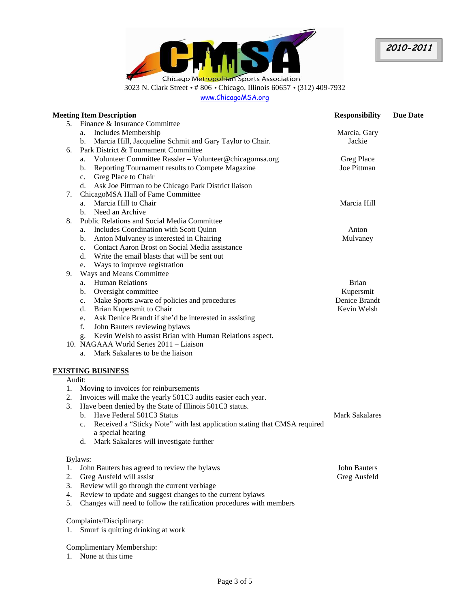

www.ChicagoMSA.org

|        | <b>Meeting Item Description</b>                                                 | <b>Responsibility</b> | <b>Due Date</b> |
|--------|---------------------------------------------------------------------------------|-----------------------|-----------------|
| 5.     | Finance & Insurance Committee                                                   |                       |                 |
|        | Includes Membership<br>a.                                                       | Marcia, Gary          |                 |
|        | Marcia Hill, Jacqueline Schmit and Gary Taylor to Chair.<br>b.                  | Jackie                |                 |
| 6.     | Park District & Tournament Committee                                            |                       |                 |
|        | Volunteer Committee Rassler - Volunteer@chicagomsa.org<br>a.                    | Greg Place            |                 |
|        | Reporting Tournament results to Compete Magazine<br>b.                          | Joe Pittman           |                 |
|        | c. Greg Place to Chair                                                          |                       |                 |
|        | d. Ask Joe Pittman to be Chicago Park District liaison                          |                       |                 |
| 7.     | ChicagoMSA Hall of Fame Committee                                               |                       |                 |
|        | Marcia Hill to Chair<br>a.                                                      | Marcia Hill           |                 |
|        | Need an Archive<br>b.                                                           |                       |                 |
| 8.     | <b>Public Relations and Social Media Committee</b>                              |                       |                 |
|        | Includes Coordination with Scott Quinn<br>a.                                    | Anton                 |                 |
|        | Anton Mulvaney is interested in Chairing<br>b.                                  | Mulvaney              |                 |
|        | Contact Aaron Brost on Social Media assistance<br>c.                            |                       |                 |
|        | d. Write the email blasts that will be sent out                                 |                       |                 |
|        | Ways to improve registration<br>e.                                              |                       |                 |
| 9.     | Ways and Means Committee                                                        |                       |                 |
|        | <b>Human Relations</b><br>a.                                                    | <b>Brian</b>          |                 |
|        | Oversight committee<br>b.                                                       | Kupersmit             |                 |
|        | Make Sports aware of policies and procedures<br>c.                              | <b>Denice Brandt</b>  |                 |
|        | Brian Kupersmit to Chair<br>d.                                                  | Kevin Welsh           |                 |
|        | Ask Denice Brandt if she'd be interested in assisting<br>e.                     |                       |                 |
|        | f.<br>John Bauters reviewing bylaws                                             |                       |                 |
|        | Kevin Welsh to assist Brian with Human Relations aspect.<br>g.                  |                       |                 |
|        | 10. NAGAAA World Series 2011 - Liaison                                          |                       |                 |
|        | Mark Sakalares to be the liaison<br>a.                                          |                       |                 |
|        | <b>EXISTING BUSINESS</b>                                                        |                       |                 |
| Audit: |                                                                                 |                       |                 |
| 1.     | Moving to invoices for reinbursements                                           |                       |                 |
| 2.     | Invoices will make the yearly 501C3 audits easier each year.                    |                       |                 |
| 3.     | Have been denied by the State of Illinois 501C3 status.                         |                       |                 |
|        | b. Have Federal 501C3 Status                                                    | <b>Mark Sakalares</b> |                 |
|        | Received a "Sticky Note" with last application stating that CMSA required<br>c. |                       |                 |
|        | a special hearing                                                               |                       |                 |
|        | Mark Sakalares will investigate further<br>d.                                   |                       |                 |
|        | Bylaws:                                                                         |                       |                 |
| 1.     | John Bauters has agreed to review the bylaws                                    | John Bauters          |                 |
| 2.     | Greg Ausfeld will assist                                                        | Greg Ausfeld          |                 |
| 3.     | Review will go through the current verbiage                                     |                       |                 |
| 4.     | Review to update and suggest changes to the current bylaws                      |                       |                 |
| 5.     | Changes will need to follow the ratification procedures with members            |                       |                 |
|        | Complaints/Disciplinary:                                                        |                       |                 |
| ı.     | Smurf is quitting drinking at work                                              |                       |                 |
|        |                                                                                 |                       |                 |

Complimentary Membership: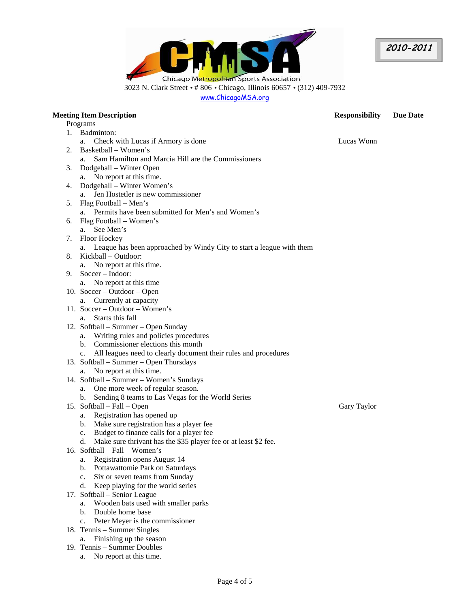**2010-2011** 

Chicago Metropolitan Sports Association 3023 N. Clark Street • # 806 • Chicago, Illinois 60657 • (312) 409-7932 www.ChicagoMSA.org

# **Meeting Item Description Responsibility Due Date**  Programs 1. Badminton: a. Check with Lucas if Armory is done Lucas Wonn Lucas Wonn 2. Basketball – Women's a. Sam Hamilton and Marcia Hill are the Commissioners 3. Dodgeball – Winter Open a. No report at this time. 4. Dodgeball – Winter Women's a. Jen Hostetler is new commissioner 5. Flag Football – Men's a. Permits have been submitted for Men's and Women's 6. Flag Football – Women's a. See Men's 7. Floor Hockey a. League has been approached by Windy City to start a league with them 8. Kickball – Outdoor: a. No report at this time. 9. Soccer – Indoor: a. No report at this time 10. Soccer – Outdoor – Open a. Currently at capacity 11. Soccer – Outdoor – Women's a. Starts this fall 12. Softball – Summer – Open Sunday a. Writing rules and policies procedures b. Commissioner elections this month c. All leagues need to clearly document their rules and procedures 13. Softball – Summer – Open Thursdays a. No report at this time. 14. Softball – Summer – Women's Sundays a. One more week of regular season. b. Sending 8 teams to Las Vegas for the World Series 15. Softball – Fall – Open a. Registration has opened up b. Make sure registration has a player fee c. Budget to finance calls for a player fee d. Make sure thrivant has the \$35 player fee or at least \$2 fee. 16. Softball – Fall – Women's a. Registration opens August 14 b. Pottawattomie Park on Saturdays c. Six or seven teams from Sunday d. Keep playing for the world series 17. Softball – Senior League a. Wooden bats used with smaller parks b. Double home base c. Peter Meyer is the commissioner 18. Tennis – Summer Singles a. Finishing up the season 19. Tennis – Summer Doubles

a. No report at this time.

Gary Taylor